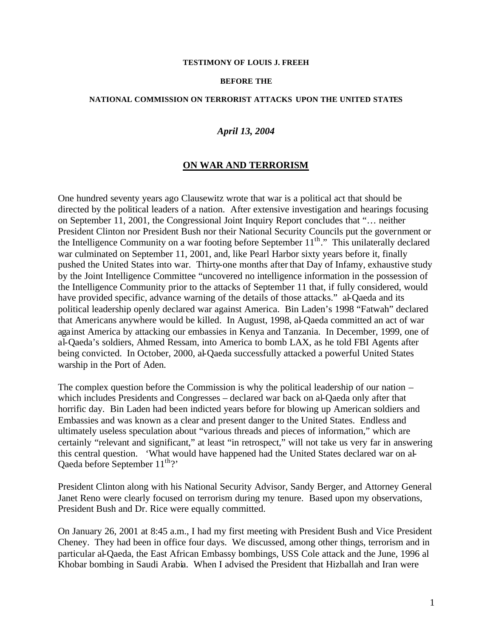#### **TESTIMONY OF LOUIS J. FREEH**

#### **BEFORE THE**

### **NATIONAL COMMISSION ON TERRORIST ATTACKS UPON THE UNITED STATES**

### *April 13, 2004*

## **ON WAR AND TERRORISM**

One hundred seventy years ago Clausewitz wrote that war is a political act that should be directed by the political leaders of a nation. After extensive investigation and hearings focusing on September 11, 2001, the Congressional Joint Inquiry Report concludes that "… neither President Clinton nor President Bush nor their National Security Councils put the government or the Intelligence Community on a war footing before September 11<sup>th</sup>." This unilaterally declared war culminated on September 11, 2001, and, like Pearl Harbor sixty years before it, finally pushed the United States into war. Thirty-one months after that Day of Infamy, exhaustive study by the Joint Intelligence Committee "uncovered no intelligence information in the possession of the Intelligence Community prior to the attacks of September 11 that, if fully considered, would have provided specific, advance warning of the details of those attacks." al-Qaeda and its political leadership openly declared war against America. Bin Laden's 1998 "Fatwah" declared that Americans anywhere would be killed. In August, 1998, al-Qaeda committed an act of war against America by attacking our embassies in Kenya and Tanzania. In December, 1999, one of al-Qaeda's soldiers, Ahmed Ressam, into America to bomb LAX, as he told FBI Agents after being convicted. In October, 2000, al-Qaeda successfully attacked a powerful United States warship in the Port of Aden.

The complex question before the Commission is why the political leadership of our nation – which includes Presidents and Congresses – declared war back on al-Qaeda only after that horrific day. Bin Laden had been indicted years before for blowing up American soldiers and Embassies and was known as a clear and present danger to the United States. Endless and ultimately useless speculation about "various threads and pieces of information," which are certainly "relevant and significant," at least "in retrospect," will not take us very far in answering this central question. 'What would have happened had the United States declared war on al-Qaeda before September 11<sup>th</sup>?'

President Clinton along with his National Security Advisor, Sandy Berger, and Attorney General Janet Reno were clearly focused on terrorism during my tenure. Based upon my observations, President Bush and Dr. Rice were equally committed.

On January 26, 2001 at 8:45 a.m., I had my first meeting with President Bush and Vice President Cheney. They had been in office four days. We discussed, among other things, terrorism and in particular al-Qaeda, the East African Embassy bombings, USS Cole attack and the June, 1996 al Khobar bombing in Saudi Arabia. When I advised the President that Hizballah and Iran were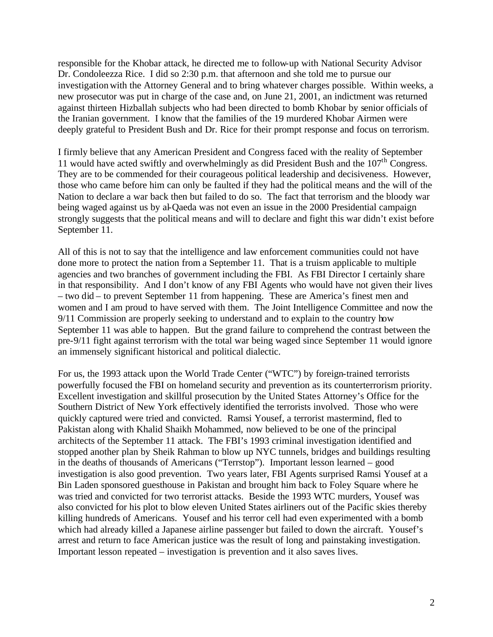responsible for the Khobar attack, he directed me to follow-up with National Security Advisor Dr. Condoleezza Rice. I did so 2:30 p.m. that afternoon and she told me to pursue our investigation with the Attorney General and to bring whatever charges possible. Within weeks, a new prosecutor was put in charge of the case and, on June 21, 2001, an indictment was returned against thirteen Hizballah subjects who had been directed to bomb Khobar by senior officials of the Iranian government. I know that the families of the 19 murdered Khobar Airmen were deeply grateful to President Bush and Dr. Rice for their prompt response and focus on terrorism.

I firmly believe that any American President and Congress faced with the reality of September 11 would have acted swiftly and overwhelmingly as did President Bush and the  $107<sup>th</sup>$  Congress. They are to be commended for their courageous political leadership and decisiveness. However, those who came before him can only be faulted if they had the political means and the will of the Nation to declare a war back then but failed to do so. The fact that terrorism and the bloody war being waged against us by al-Qaeda was not even an issue in the 2000 Presidential campaign strongly suggests that the political means and will to declare and fight this war didn't exist before September 11.

All of this is not to say that the intelligence and law enforcement communities could not have done more to protect the nation from a September 11. That is a truism applicable to multiple agencies and two branches of government including the FBI. As FBI Director I certainly share in that responsibility. And I don't know of any FBI Agents who would have not given their lives – two did – to prevent September 11 from happening. These are America's finest men and women and I am proud to have served with them. The Joint Intelligence Committee and now the 9/11 Commission are properly seeking to understand and to explain to the country how September 11 was able to happen. But the grand failure to comprehend the contrast between the pre-9/11 fight against terrorism with the total war being waged since September 11 would ignore an immensely significant historical and political dialectic.

For us, the 1993 attack upon the World Trade Center ("WTC") by foreign-trained terrorists powerfully focused the FBI on homeland security and prevention as its counterterrorism priority. Excellent investigation and skillful prosecution by the United States Attorney's Office for the Southern District of New York effectively identified the terrorists involved. Those who were quickly captured were tried and convicted. Ramsi Yousef, a terrorist mastermind, fled to Pakistan along with Khalid Shaikh Mohammed, now believed to be one of the principal architects of the September 11 attack. The FBI's 1993 criminal investigation identified and stopped another plan by Sheik Rahman to blow up NYC tunnels, bridges and buildings resulting in the deaths of thousands of Americans ("Terrstop"). Important lesson learned – good investigation is also good prevention. Two years later, FBI Agents surprised Ramsi Yousef at a Bin Laden sponsored guesthouse in Pakistan and brought him back to Foley Square where he was tried and convicted for two terrorist attacks. Beside the 1993 WTC murders, Yousef was also convicted for his plot to blow eleven United States airliners out of the Pacific skies thereby killing hundreds of Americans. Yousef and his terror cell had even experimented with a bomb which had already killed a Japanese airline passenger but failed to down the aircraft. Yousef's arrest and return to face American justice was the result of long and painstaking investigation. Important lesson repeated – investigation is prevention and it also saves lives.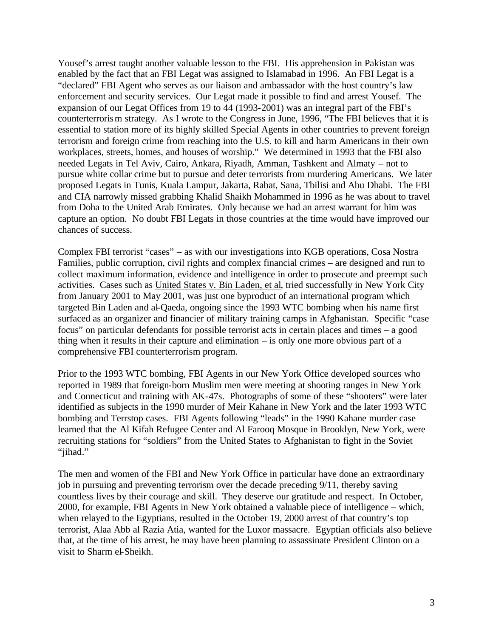Yousef's arrest taught another valuable lesson to the FBI. His apprehension in Pakistan was enabled by the fact that an FBI Legat was assigned to Islamabad in 1996. An FBI Legat is a "declared" FBI Agent who serves as our liaison and ambassador with the host country's law enforcement and security services. Our Legat made it possible to find and arrest Yousef. The expansion of our Legat Offices from 19 to 44 (1993-2001) was an integral part of the FBI's counterterrorism strategy. As I wrote to the Congress in June, 1996, "The FBI believes that it is essential to station more of its highly skilled Special Agents in other countries to prevent foreign terrorism and foreign crime from reaching into the U.S. to kill and harm Americans in their own workplaces, streets, homes, and houses of worship." We determined in 1993 that the FBI also needed Legats in Tel Aviv, Cairo, Ankara, Riyadh, Amman, Tashkent and Almaty – not to pursue white collar crime but to pursue and deter terrorists from murdering Americans. We later proposed Legats in Tunis, Kuala Lampur, Jakarta, Rabat, Sana, Tbilisi and Abu Dhabi. The FBI and CIA narrowly missed grabbing Khalid Shaikh Mohammed in 1996 as he was about to travel from Doha to the United Arab Emirates. Only because we had an arrest warrant for him was capture an option. No doubt FBI Legats in those countries at the time would have improved our chances of success.

Complex FBI terrorist "cases" – as with our investigations into KGB operations, Cosa Nostra Families, public corruption, civil rights and complex financial crimes – are designed and run to collect maximum information, evidence and intelligence in order to prosecute and preempt such activities. Cases such as United States v. Bin Laden, et al, tried successfully in New York City from January 2001 to May 2001, was just one byproduct of an international program which targeted Bin Laden and al-Qaeda, ongoing since the 1993 WTC bombing when his name first surfaced as an organizer and financier of military training camps in Afghanistan. Specific "case focus" on particular defendants for possible terrorist acts in certain places and times – a good thing when it results in their capture and elimination – is only one more obvious part of a comprehensive FBI counterterrorism program.

Prior to the 1993 WTC bombing, FBI Agents in our New York Office developed sources who reported in 1989 that foreign-born Muslim men were meeting at shooting ranges in New York and Connecticut and training with AK-47s. Photographs of some of these "shooters" were later identified as subjects in the 1990 murder of Meir Kahane in New York and the later 1993 WTC bombing and Terrstop cases. FBI Agents following "leads" in the 1990 Kahane murder case learned that the Al Kifah Refugee Center and Al Farooq Mosque in Brooklyn, New York, were recruiting stations for "soldiers" from the United States to Afghanistan to fight in the Soviet "jihad."

The men and women of the FBI and New York Office in particular have done an extraordinary job in pursuing and preventing terrorism over the decade preceding 9/11, thereby saving countless lives by their courage and skill. They deserve our gratitude and respect. In October, 2000, for example, FBI Agents in New York obtained a valuable piece of intelligence – which, when relayed to the Egyptians, resulted in the October 19, 2000 arrest of that country's top terrorist, Alaa Abb al Razia Atia, wanted for the Luxor massacre. Egyptian officials also believe that, at the time of his arrest, he may have been planning to assassinate President Clinton on a visit to Sharm el-Sheikh.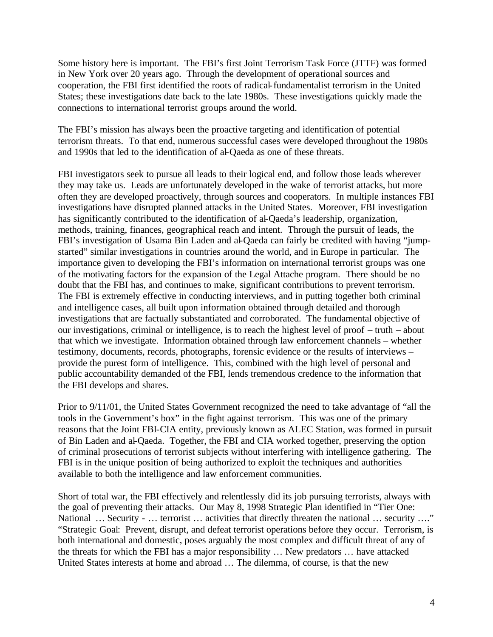Some history here is important. The FBI's first Joint Terrorism Task Force (JTTF) was formed in New York over 20 years ago. Through the development of operational sources and cooperation, the FBI first identified the roots of radical-fundamentalist terrorism in the United States; these investigations date back to the late 1980s. These investigations quickly made the connections to international terrorist groups around the world.

The FBI's mission has always been the proactive targeting and identification of potential terrorism threats. To that end, numerous successful cases were developed throughout the 1980s and 1990s that led to the identification of al-Qaeda as one of these threats.

FBI investigators seek to pursue all leads to their logical end, and follow those leads wherever they may take us. Leads are unfortunately developed in the wake of terrorist attacks, but more often they are developed proactively, through sources and cooperators. In multiple instances FBI investigations have disrupted planned attacks in the United States. Moreover, FBI investigation has significantly contributed to the identification of al-Qaeda's leadership, organization, methods, training, finances, geographical reach and intent. Through the pursuit of leads, the FBI's investigation of Usama Bin Laden and al-Qaeda can fairly be credited with having "jumpstarted" similar investigations in countries around the world, and in Europe in particular. The importance given to developing the FBI's information on international terrorist groups was one of the motivating factors for the expansion of the Legal Attache program. There should be no doubt that the FBI has, and continues to make, significant contributions to prevent terrorism. The FBI is extremely effective in conducting interviews, and in putting together both criminal and intelligence cases, all built upon information obtained through detailed and thorough investigations that are factually substantiated and corroborated. The fundamental objective of our investigations, criminal or intelligence, is to reach the highest level of proof – truth – about that which we investigate. Information obtained through law enforcement channels – whether testimony, documents, records, photographs, forensic evidence or the results of interviews – provide the purest form of intelligence. This, combined with the high level of personal and public accountability demanded of the FBI, lends tremendous credence to the information that the FBI develops and shares.

Prior to 9/11/01, the United States Government recognized the need to take advantage of "all the tools in the Government's box" in the fight against terrorism. This was one of the primary reasons that the Joint FBI-CIA entity, previously known as ALEC Station, was formed in pursuit of Bin Laden and al-Qaeda. Together, the FBI and CIA worked together, preserving the option of criminal prosecutions of terrorist subjects without interfering with intelligence gathering. The FBI is in the unique position of being authorized to exploit the techniques and authorities available to both the intelligence and law enforcement communities.

Short of total war, the FBI effectively and relentlessly did its job pursuing terrorists, always with the goal of preventing their attacks. Our May 8, 1998 Strategic Plan identified in "Tier One: National … Security - … terrorist … activities that directly threaten the national … security …." "Strategic Goal: Prevent, disrupt, and defeat terrorist operations before they occur. Terrorism, is both international and domestic, poses arguably the most complex and difficult threat of any of the threats for which the FBI has a major responsibility … New predators … have attacked United States interests at home and abroad … The dilemma, of course, is that the new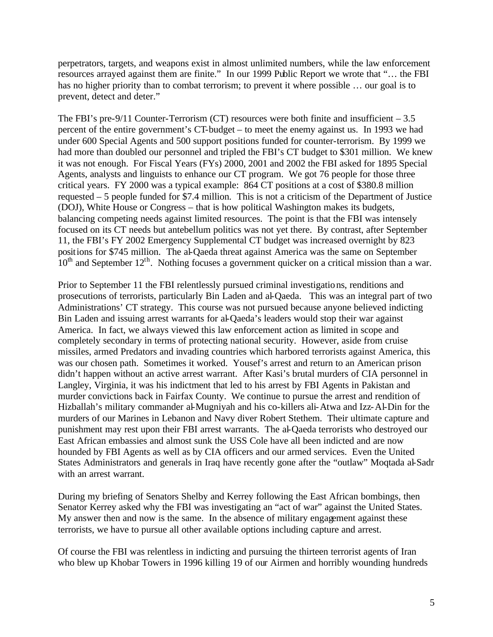perpetrators, targets, and weapons exist in almost unlimited numbers, while the law enforcement resources arrayed against them are finite." In our 1999 Public Report we wrote that "… the FBI has no higher priority than to combat terrorism; to prevent it where possible ... our goal is to prevent, detect and deter."

The FBI's pre-9/11 Counter-Terrorism (CT) resources were both finite and insufficient  $-3.5$ percent of the entire government's CT-budget – to meet the enemy against us. In 1993 we had under 600 Special Agents and 500 support positions funded for counter-terrorism. By 1999 we had more than doubled our personnel and tripled the FBI's CT budget to \$301 million. We knew it was not enough. For Fiscal Years (FYs) 2000, 2001 and 2002 the FBI asked for 1895 Special Agents, analysts and linguists to enhance our CT program. We got 76 people for those three critical years. FY 2000 was a typical example: 864 CT positions at a cost of \$380.8 million requested – 5 people funded for \$7.4 million. This is not a criticism of the Department of Justice (DOJ), White House or Congress – that is how political Washington makes its budgets, balancing competing needs against limited resources. The point is that the FBI was intensely focused on its CT needs but antebellum politics was not yet there. By contrast, after September 11, the FBI's FY 2002 Emergency Supplemental CT budget was increased overnight by 823 positions for \$745 million. The al-Qaeda threat against America was the same on September  $10<sup>th</sup>$  and September 12<sup>th</sup>. Nothing focuses a government quicker on a critical mission than a war.

Prior to September 11 the FBI relentlessly pursued criminal investigations, renditions and prosecutions of terrorists, particularly Bin Laden and al-Qaeda. This was an integral part of two Administrations' CT strategy. This course was not pursued because anyone believed indicting Bin Laden and issuing arrest warrants for al-Qaeda's leaders would stop their war against America. In fact, we always viewed this law enforcement action as limited in scope and completely secondary in terms of protecting national security. However, aside from cruise missiles, armed Predators and invading countries which harbored terrorists against America, this was our chosen path. Sometimes it worked. Yousef's arrest and return to an American prison didn't happen without an active arrest warrant. After Kasi's brutal murders of CIA personnel in Langley, Virginia, it was his indictment that led to his arrest by FBI Agents in Pakistan and murder convictions back in Fairfax County. We continue to pursue the arrest and rendition of Hizballah's military commander al-Mugniyah and his co-killers ali-Atwa and Izz-Al-Din for the murders of our Marines in Lebanon and Navy diver Robert Stethem. Their ultimate capture and punishment may rest upon their FBI arrest warrants. The al-Qaeda terrorists who destroyed our East African embassies and almost sunk the USS Cole have all been indicted and are now hounded by FBI Agents as well as by CIA officers and our armed services. Even the United States Administrators and generals in Iraq have recently gone after the "outlaw" Moqtada al-Sadr with an arrest warrant.

During my briefing of Senators Shelby and Kerrey following the East African bombings, then Senator Kerrey asked why the FBI was investigating an "act of war" against the United States. My answer then and now is the same. In the absence of military engagement against these terrorists, we have to pursue all other available options including capture and arrest.

Of course the FBI was relentless in indicting and pursuing the thirteen terrorist agents of Iran who blew up Khobar Towers in 1996 killing 19 of our Airmen and horribly wounding hundreds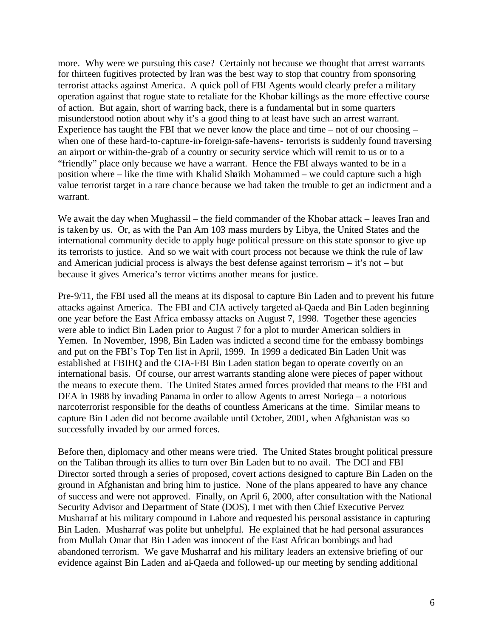more. Why were we pursuing this case? Certainly not because we thought that arrest warrants for thirteen fugitives protected by Iran was the best way to stop that country from sponsoring terrorist attacks against America. A quick poll of FBI Agents would clearly prefer a military operation against that rogue state to retaliate for the Khobar killings as the more effective course of action. But again, short of warring back, there is a fundamental but in some quarters misunderstood notion about why it's a good thing to at least have such an arrest warrant. Experience has taught the FBI that we never know the place and time – not of our choosing – when one of these hard-to-capture-in-foreign-safe-havens- terrorists is suddenly found traversing an airport or within-the-grab of a country or security service which will remit to us or to a "friendly" place only because we have a warrant. Hence the FBI always wanted to be in a position where – like the time with Khalid Shaikh Mohammed – we could capture such a high value terrorist target in a rare chance because we had taken the trouble to get an indictment and a warrant.

We await the day when Mughassil – the field commander of the Khobar attack – leaves Iran and is taken by us. Or, as with the Pan Am 103 mass murders by Libya, the United States and the international community decide to apply huge political pressure on this state sponsor to give up its terrorists to justice. And so we wait with court process not because we think the rule of law and American judicial process is always the best defense against terrorism – it's not – but because it gives America's terror victims another means for justice.

Pre-9/11, the FBI used all the means at its disposal to capture Bin Laden and to prevent his future attacks against America. The FBI and CIA actively targeted al-Qaeda and Bin Laden beginning one year before the East Africa embassy attacks on August 7, 1998. Together these agencies were able to indict Bin Laden prior to August 7 for a plot to murder American soldiers in Yemen. In November, 1998, Bin Laden was indicted a second time for the embassy bombings and put on the FBI's Top Ten list in April, 1999. In 1999 a dedicated Bin Laden Unit was established at FBIHQ and the CIA-FBI Bin Laden station began to operate covertly on an international basis. Of course, our arrest warrants standing alone were pieces of paper without the means to execute them. The United States armed forces provided that means to the FBI and DEA in 1988 by invading Panama in order to allow Agents to arrest Noriega – a notorious narcoterrorist responsible for the deaths of countless Americans at the time. Similar means to capture Bin Laden did not become available until October, 2001, when Afghanistan was so successfully invaded by our armed forces.

Before then, diplomacy and other means were tried. The United States brought political pressure on the Taliban through its allies to turn over Bin Laden but to no avail. The DCI and FBI Director sorted through a series of proposed, covert actions designed to capture Bin Laden on the ground in Afghanistan and bring him to justice. None of the plans appeared to have any chance of success and were not approved. Finally, on April 6, 2000, after consultation with the National Security Advisor and Department of State (DOS), I met with then Chief Executive Pervez Musharraf at his military compound in Lahore and requested his personal assistance in capturing Bin Laden. Musharraf was polite but unhelpful. He explained that he had personal assurances from Mullah Omar that Bin Laden was innocent of the East African bombings and had abandoned terrorism. We gave Musharraf and his military leaders an extensive briefing of our evidence against Bin Laden and al-Qaeda and followed-up our meeting by sending additional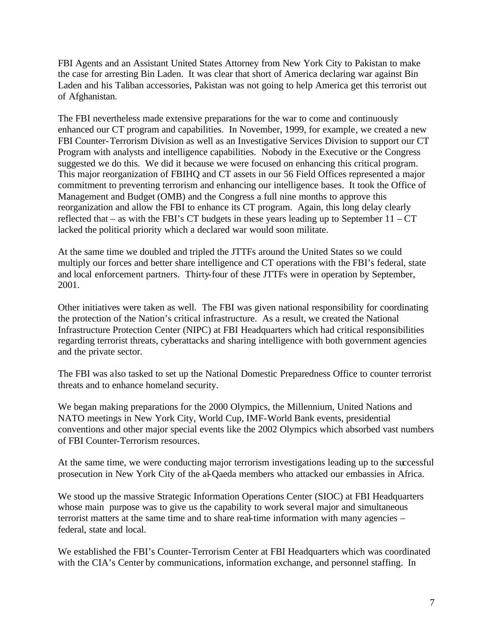FBI Agents and an Assistant United States Attorney from New York City to Pakistan to make the case for arresting Bin Laden. It was clear that short of America declaring war against Bin Laden and his Taliban accessories, Pakistan was not going to help America get this terrorist out of Afghanistan.

The FBI nevertheless made extensive preparations for the war to come and continuously enhanced our CT program and capabilities. In November, 1999, for example, we created a new FBI Counter-Terrorism Division as well as an Investigative Services Division to support our CT Program with analysts and intelligence capabilities. Nobody in the Executive or the Congress suggested we do this. We did it because we were focused on enhancing this critical program. This major reorganization of FBIHQ and CT assets in our 56 Field Offices represented a major commitment to preventing terrorism and enhancing our intelligence bases. It took the Office of Management and Budget (OMB) and the Congress a full nine months to approve this reorganization and allow the FBI to enhance its CT program. Again, this long delay clearly reflected that – as with the FBI's CT budgets in these years leading up to September  $11 - CT$ lacked the political priority which a declared war would soon militate.

At the same time we doubled and tripled the JTTFs around the United States so we could multiply our forces and better share intelligence and CT operations with the FBI's federal, state and local enforcement partners. Thirty-four of these JTTFs were in operation by September, 2001.

Other initiatives were taken as well. The FBI was given national responsibility for coordinating the protection of the Nation's critical infrastructure. As a result, we created the National Infrastructure Protection Center (NIPC) at FBI Headquarters which had critical responsibilities regarding terrorist threats, cyberattacks and sharing intelligence with both government agencies and the private sector.

The FBI was also tasked to set up the National Domestic Preparedness Office to counter terrorist threats and to enhance homeland security.

We began making preparations for the 2000 Olympics, the Millennium, United Nations and NATO meetings in New York City, World Cup, IMF-World Bank events, presidential conventions and other major special events like the 2002 Olympics which absorbed vast numbers of FBI Counter-Terrorism resources.

At the same time, we were conducting major terrorism investigations leading up to the successful prosecution in New York City of the al-Qaeda members who attacked our embassies in Africa.

We stood up the massive Strategic Information Operations Center (SIOC) at FBI Headquarters whose main purpose was to give us the capability to work several major and simultaneous terrorist matters at the same time and to share real-time information with many agencies – federal, state and local.

We established the FBI's Counter-Terrorism Center at FBI Headquarters which was coordinated with the CIA's Center by communications, information exchange, and personnel staffing. In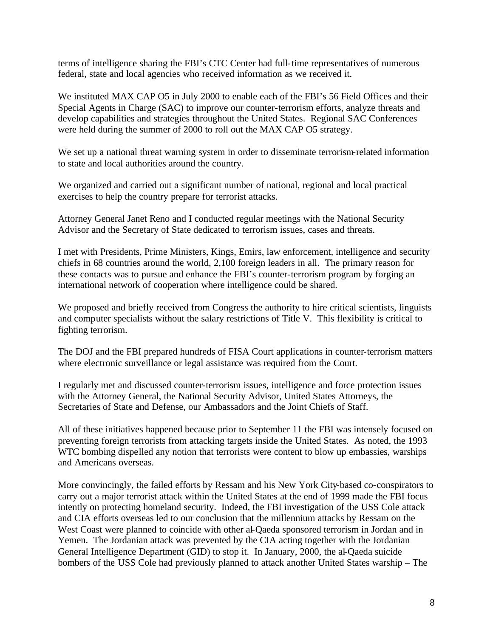terms of intelligence sharing the FBI's CTC Center had full-time representatives of numerous federal, state and local agencies who received information as we received it.

We instituted MAX CAP O5 in July 2000 to enable each of the FBI's 56 Field Offices and their Special Agents in Charge (SAC) to improve our counter-terrorism efforts, analyze threats and develop capabilities and strategies throughout the United States. Regional SAC Conferences were held during the summer of 2000 to roll out the MAX CAP O5 strategy.

We set up a national threat warning system in order to disseminate terrorism-related information to state and local authorities around the country.

We organized and carried out a significant number of national, regional and local practical exercises to help the country prepare for terrorist attacks.

Attorney General Janet Reno and I conducted regular meetings with the National Security Advisor and the Secretary of State dedicated to terrorism issues, cases and threats.

I met with Presidents, Prime Ministers, Kings, Emirs, law enforcement, intelligence and security chiefs in 68 countries around the world, 2,100 foreign leaders in all. The primary reason for these contacts was to pursue and enhance the FBI's counter-terrorism program by forging an international network of cooperation where intelligence could be shared.

We proposed and briefly received from Congress the authority to hire critical scientists, linguists and computer specialists without the salary restrictions of Title V. This flexibility is critical to fighting terrorism.

The DOJ and the FBI prepared hundreds of FISA Court applications in counter-terrorism matters where electronic surveillance or legal assistance was required from the Court.

I regularly met and discussed counter-terrorism issues, intelligence and force protection issues with the Attorney General, the National Security Advisor, United States Attorneys, the Secretaries of State and Defense, our Ambassadors and the Joint Chiefs of Staff.

All of these initiatives happened because prior to September 11 the FBI was intensely focused on preventing foreign terrorists from attacking targets inside the United States. As noted, the 1993 WTC bombing dispelled any notion that terrorists were content to blow up embassies, warships and Americans overseas.

More convincingly, the failed efforts by Ressam and his New York City-based co-conspirators to carry out a major terrorist attack within the United States at the end of 1999 made the FBI focus intently on protecting homeland security. Indeed, the FBI investigation of the USS Cole attack and CIA efforts overseas led to our conclusion that the millennium attacks by Ressam on the West Coast were planned to coincide with other al-Qaeda sponsored terrorism in Jordan and in Yemen. The Jordanian attack was prevented by the CIA acting together with the Jordanian General Intelligence Department (GID) to stop it. In January, 2000, the al-Qaeda suicide bombers of the USS Cole had previously planned to attack another United States warship – The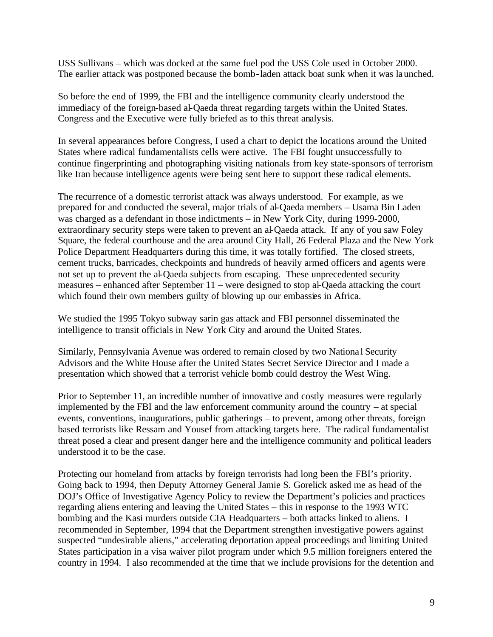USS Sullivans – which was docked at the same fuel pod the USS Cole used in October 2000. The earlier attack was postponed because the bomb-laden attack boat sunk when it was launched.

So before the end of 1999, the FBI and the intelligence community clearly understood the immediacy of the foreign-based al-Qaeda threat regarding targets within the United States. Congress and the Executive were fully briefed as to this threat analysis.

In several appearances before Congress, I used a chart to depict the locations around the United States where radical fundamentalists cells were active. The FBI fought unsuccessfully to continue fingerprinting and photographing visiting nationals from key state-sponsors of terrorism like Iran because intelligence agents were being sent here to support these radical elements.

The recurrence of a domestic terrorist attack was always understood. For example, as we prepared for and conducted the several, major trials of al-Qaeda members – Usama Bin Laden was charged as a defendant in those indictments – in New York City, during 1999-2000, extraordinary security steps were taken to prevent an al-Qaeda attack. If any of you saw Foley Square, the federal courthouse and the area around City Hall, 26 Federal Plaza and the New York Police Department Headquarters during this time, it was totally fortified. The closed streets, cement trucks, barricades, checkpoints and hundreds of heavily armed officers and agents were not set up to prevent the al-Qaeda subjects from escaping. These unprecedented security measures – enhanced after September 11 – were designed to stop al-Qaeda attacking the court which found their own members guilty of blowing up our embassies in Africa.

We studied the 1995 Tokyo subway sarin gas attack and FBI personnel disseminated the intelligence to transit officials in New York City and around the United States.

Similarly, Pennsylvania Avenue was ordered to remain closed by two Nationa l Security Advisors and the White House after the United States Secret Service Director and I made a presentation which showed that a terrorist vehicle bomb could destroy the West Wing.

Prior to September 11, an incredible number of innovative and costly measures were regularly implemented by the FBI and the law enforcement community around the country – at special events, conventions, inaugurations, public gatherings – to prevent, among other threats, foreign based terrorists like Ressam and Yousef from attacking targets here. The radical fundamentalist threat posed a clear and present danger here and the intelligence community and political leaders understood it to be the case.

Protecting our homeland from attacks by foreign terrorists had long been the FBI's priority. Going back to 1994, then Deputy Attorney General Jamie S. Gorelick asked me as head of the DOJ's Office of Investigative Agency Policy to review the Department's policies and practices regarding aliens entering and leaving the United States – this in response to the 1993 WTC bombing and the Kasi murders outside CIA Headquarters – both attacks linked to aliens. I recommended in September, 1994 that the Department strengthen investigative powers against suspected "undesirable aliens," accelerating deportation appeal proceedings and limiting United States participation in a visa waiver pilot program under which 9.5 million foreigners entered the country in 1994. I also recommended at the time that we include provisions for the detention and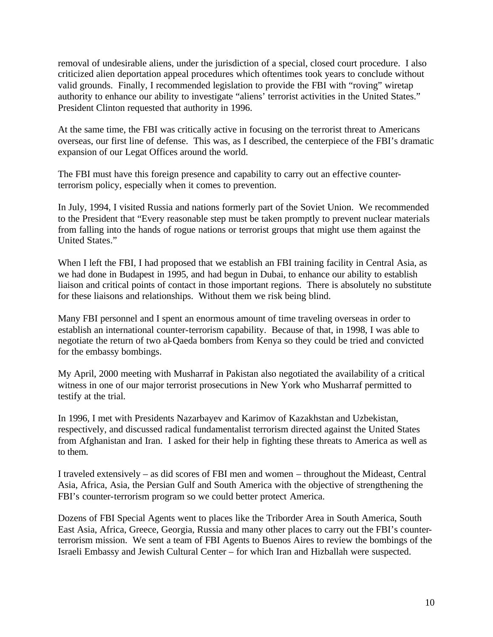removal of undesirable aliens, under the jurisdiction of a special, closed court procedure. I also criticized alien deportation appeal procedures which oftentimes took years to conclude without valid grounds. Finally, I recommended legislation to provide the FBI with "roving" wiretap authority to enhance our ability to investigate "aliens' terrorist activities in the United States." President Clinton requested that authority in 1996.

At the same time, the FBI was critically active in focusing on the terrorist threat to Americans overseas, our first line of defense. This was, as I described, the centerpiece of the FBI's dramatic expansion of our Legat Offices around the world.

The FBI must have this foreign presence and capability to carry out an effective counterterrorism policy, especially when it comes to prevention.

In July, 1994, I visited Russia and nations formerly part of the Soviet Union. We recommended to the President that "Every reasonable step must be taken promptly to prevent nuclear materials from falling into the hands of rogue nations or terrorist groups that might use them against the United States."

When I left the FBI, I had proposed that we establish an FBI training facility in Central Asia, as we had done in Budapest in 1995, and had begun in Dubai, to enhance our ability to establish liaison and critical points of contact in those important regions. There is absolutely no substitute for these liaisons and relationships. Without them we risk being blind.

Many FBI personnel and I spent an enormous amount of time traveling overseas in order to establish an international counter-terrorism capability. Because of that, in 1998, I was able to negotiate the return of two al-Qaeda bombers from Kenya so they could be tried and convicted for the embassy bombings.

My April, 2000 meeting with Musharraf in Pakistan also negotiated the availability of a critical witness in one of our major terrorist prosecutions in New York who Musharraf permitted to testify at the trial.

In 1996, I met with Presidents Nazarbayev and Karimov of Kazakhstan and Uzbekistan, respectively, and discussed radical fundamentalist terrorism directed against the United States from Afghanistan and Iran. I asked for their help in fighting these threats to America as well as to them.

I traveled extensively – as did scores of FBI men and women – throughout the Mideast, Central Asia, Africa, Asia, the Persian Gulf and South America with the objective of strengthening the FBI's counter-terrorism program so we could better protect America.

Dozens of FBI Special Agents went to places like the Triborder Area in South America, South East Asia, Africa, Greece, Georgia, Russia and many other places to carry out the FBI's counterterrorism mission. We sent a team of FBI Agents to Buenos Aires to review the bombings of the Israeli Embassy and Jewish Cultural Center – for which Iran and Hizballah were suspected.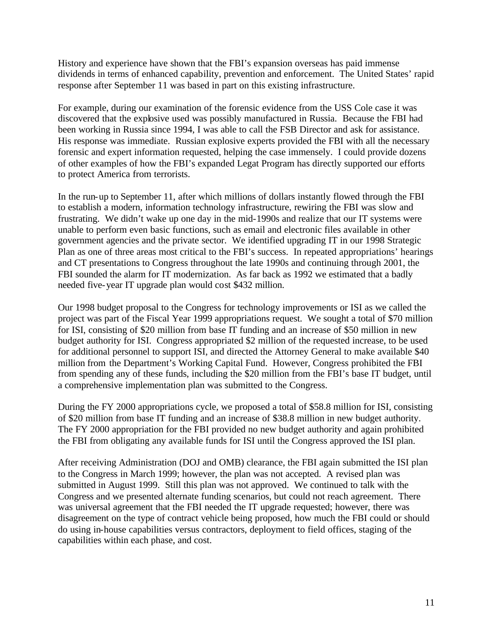History and experience have shown that the FBI's expansion overseas has paid immense dividends in terms of enhanced capability, prevention and enforcement. The United States' rapid response after September 11 was based in part on this existing infrastructure.

For example, during our examination of the forensic evidence from the USS Cole case it was discovered that the explosive used was possibly manufactured in Russia. Because the FBI had been working in Russia since 1994, I was able to call the FSB Director and ask for assistance. His response was immediate. Russian explosive experts provided the FBI with all the necessary forensic and expert information requested, helping the case immensely. I could provide dozens of other examples of how the FBI's expanded Legat Program has directly supported our efforts to protect America from terrorists.

In the run-up to September 11, after which millions of dollars instantly flowed through the FBI to establish a modern, information technology infrastructure, rewiring the FBI was slow and frustrating. We didn't wake up one day in the mid-1990s and realize that our IT systems were unable to perform even basic functions, such as email and electronic files available in other government agencies and the private sector. We identified upgrading IT in our 1998 Strategic Plan as one of three areas most critical to the FBI's success. In repeated appropriations' hearings and CT presentations to Congress throughout the late 1990s and continuing through 2001, the FBI sounded the alarm for IT modernization. As far back as 1992 we estimated that a badly needed five-year IT upgrade plan would cost \$432 million.

Our 1998 budget proposal to the Congress for technology improvements or ISI as we called the project was part of the Fiscal Year 1999 appropriations request. We sought a total of \$70 million for ISI, consisting of \$20 million from base IT funding and an increase of \$50 million in new budget authority for ISI. Congress appropriated \$2 million of the requested increase, to be used for additional personnel to support ISI, and directed the Attorney General to make available \$40 million from the Department's Working Capital Fund. However, Congress prohibited the FBI from spending any of these funds, including the \$20 million from the FBI's base IT budget, until a comprehensive implementation plan was submitted to the Congress.

During the FY 2000 appropriations cycle, we proposed a total of \$58.8 million for ISI, consisting of \$20 million from base IT funding and an increase of \$38.8 million in new budget authority. The FY 2000 appropriation for the FBI provided no new budget authority and again prohibited the FBI from obligating any available funds for ISI until the Congress approved the ISI plan.

After receiving Administration (DOJ and OMB) clearance, the FBI again submitted the ISI plan to the Congress in March 1999; however, the plan was not accepted. A revised plan was submitted in August 1999. Still this plan was not approved. We continued to talk with the Congress and we presented alternate funding scenarios, but could not reach agreement. There was universal agreement that the FBI needed the IT upgrade requested; however, there was disagreement on the type of contract vehicle being proposed, how much the FBI could or should do using in-house capabilities versus contractors, deployment to field offices, staging of the capabilities within each phase, and cost.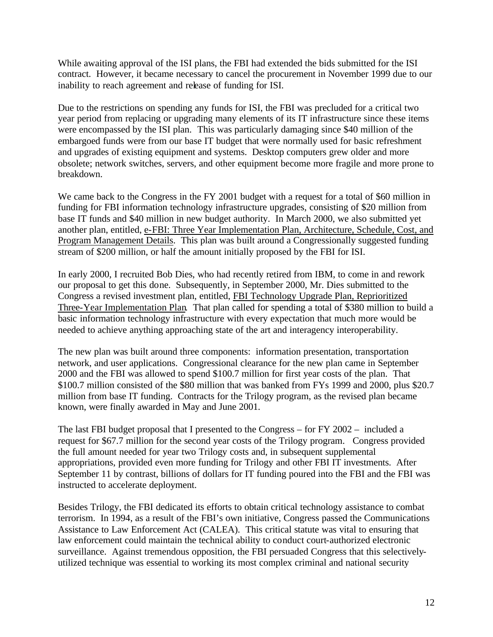While awaiting approval of the ISI plans, the FBI had extended the bids submitted for the ISI contract. However, it became necessary to cancel the procurement in November 1999 due to our inability to reach agreement and release of funding for ISI.

Due to the restrictions on spending any funds for ISI, the FBI was precluded for a critical two year period from replacing or upgrading many elements of its IT infrastructure since these items were encompassed by the ISI plan. This was particularly damaging since \$40 million of the embargoed funds were from our base IT budget that were normally used for basic refreshment and upgrades of existing equipment and systems. Desktop computers grew older and more obsolete; network switches, servers, and other equipment become more fragile and more prone to breakdown.

We came back to the Congress in the FY 2001 budget with a request for a total of \$60 million in funding for FBI information technology infrastructure upgrades, consisting of \$20 million from base IT funds and \$40 million in new budget authority. In March 2000, we also submitted yet another plan, entitled, e-FBI: Three Year Implementation Plan, Architecture, Schedule, Cost, and Program Management Details. This plan was built around a Congressionally suggested funding stream of \$200 million, or half the amount initially proposed by the FBI for ISI.

In early 2000, I recruited Bob Dies, who had recently retired from IBM, to come in and rework our proposal to get this done. Subsequently, in September 2000, Mr. Dies submitted to the Congress a revised investment plan, entitled, FBI Technology Upgrade Plan, Reprioritized Three-Year Implementation Plan. That plan called for spending a total of \$380 million to build a basic information technology infrastructure with every expectation that much more would be needed to achieve anything approaching state of the art and interagency interoperability.

The new plan was built around three components: information presentation, transportation network, and user applications. Congressional clearance for the new plan came in September 2000 and the FBI was allowed to spend \$100.7 million for first year costs of the plan. That \$100.7 million consisted of the \$80 million that was banked from FYs 1999 and 2000, plus \$20.7 million from base IT funding. Contracts for the Trilogy program, as the revised plan became known, were finally awarded in May and June 2001.

The last FBI budget proposal that I presented to the Congress – for FY 2002 – included a request for \$67.7 million for the second year costs of the Trilogy program. Congress provided the full amount needed for year two Trilogy costs and, in subsequent supplemental appropriations, provided even more funding for Trilogy and other FBI IT investments. After September 11 by contrast, billions of dollars for IT funding poured into the FBI and the FBI was instructed to accelerate deployment.

Besides Trilogy, the FBI dedicated its efforts to obtain critical technology assistance to combat terrorism. In 1994, as a result of the FBI's own initiative, Congress passed the Communications Assistance to Law Enforcement Act (CALEA). This critical statute was vital to ensuring that law enforcement could maintain the technical ability to conduct court-authorized electronic surveillance. Against tremendous opposition, the FBI persuaded Congress that this selectivelyutilized technique was essential to working its most complex criminal and national security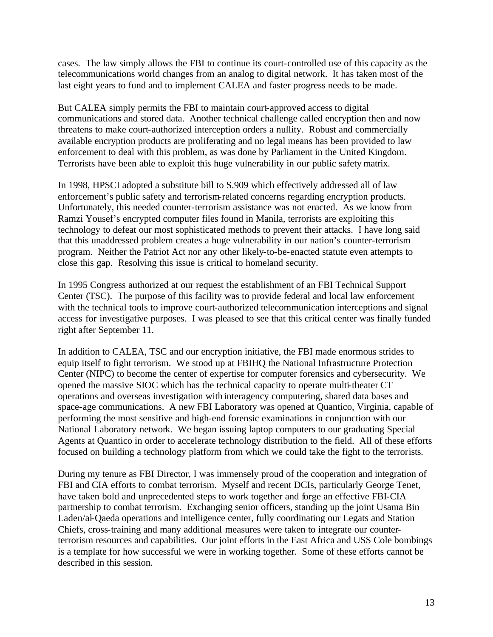cases. The law simply allows the FBI to continue its court-controlled use of this capacity as the telecommunications world changes from an analog to digital network. It has taken most of the last eight years to fund and to implement CALEA and faster progress needs to be made.

But CALEA simply permits the FBI to maintain court-approved access to digital communications and stored data. Another technical challenge called encryption then and now threatens to make court-authorized interception orders a nullity. Robust and commercially available encryption products are proliferating and no legal means has been provided to law enforcement to deal with this problem, as was done by Parliament in the United Kingdom. Terrorists have been able to exploit this huge vulnerability in our public safety matrix.

In 1998, HPSCI adopted a substitute bill to S.909 which effectively addressed all of law enforcement's public safety and terrorism-related concerns regarding encryption products. Unfortunately, this needed counter-terrorism assistance was not enacted. As we know from Ramzi Yousef's encrypted computer files found in Manila, terrorists are exploiting this technology to defeat our most sophisticated methods to prevent their attacks. I have long said that this unaddressed problem creates a huge vulnerability in our nation's counter-terrorism program. Neither the Patriot Act nor any other likely-to-be-enacted statute even attempts to close this gap. Resolving this issue is critical to homeland security.

In 1995 Congress authorized at our request the establishment of an FBI Technical Support Center (TSC). The purpose of this facility was to provide federal and local law enforcement with the technical tools to improve court-authorized telecommunication interceptions and signal access for investigative purposes. I was pleased to see that this critical center was finally funded right after September 11.

In addition to CALEA, TSC and our encryption initiative, the FBI made enormous strides to equip itself to fight terrorism. We stood up at FBIHQ the National Infrastructure Protection Center (NIPC) to become the center of expertise for computer forensics and cybersecurity. We opened the massive SIOC which has the technical capacity to operate multi-theater CT operations and overseas investigation with interagency computering, shared data bases and space-age communications. A new FBI Laboratory was opened at Quantico, Virginia, capable of performing the most sensitive and high-end forensic examinations in conjunction with our National Laboratory network. We began issuing laptop computers to our graduating Special Agents at Quantico in order to accelerate technology distribution to the field. All of these efforts focused on building a technology platform from which we could take the fight to the terrorists.

During my tenure as FBI Director, I was immensely proud of the cooperation and integration of FBI and CIA efforts to combat terrorism. Myself and recent DCIs, particularly George Tenet, have taken bold and unprecedented steps to work together and forge an effective FBI-CIA partnership to combat terrorism. Exchanging senior officers, standing up the joint Usama Bin Laden/al-Qaeda operations and intelligence center, fully coordinating our Legats and Station Chiefs, cross-training and many additional measures were taken to integrate our counterterrorism resources and capabilities. Our joint efforts in the East Africa and USS Cole bombings is a template for how successful we were in working together. Some of these efforts cannot be described in this session.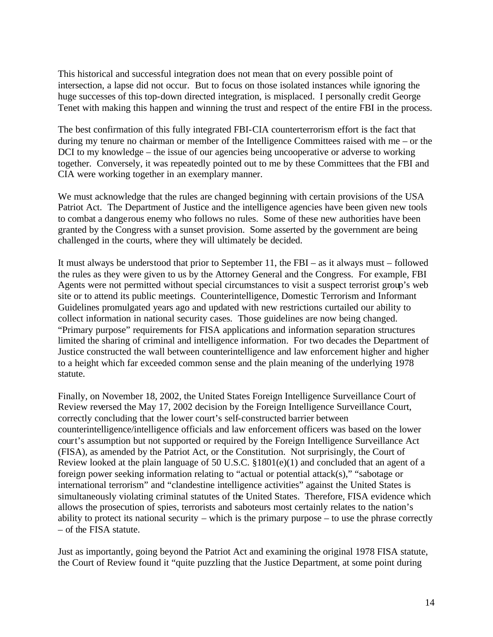This historical and successful integration does not mean that on every possible point of intersection, a lapse did not occur. But to focus on those isolated instances while ignoring the huge successes of this top-down directed integration, is misplaced. I personally credit George Tenet with making this happen and winning the trust and respect of the entire FBI in the process.

The best confirmation of this fully integrated FBI-CIA counterterrorism effort is the fact that during my tenure no chairman or member of the Intelligence Committees raised with me – or the DCI to my knowledge – the issue of our agencies being uncooperative or adverse to working together. Conversely, it was repeatedly pointed out to me by these Committees that the FBI and CIA were working together in an exemplary manner.

We must acknowledge that the rules are changed beginning with certain provisions of the USA Patriot Act. The Department of Justice and the intelligence agencies have been given new tools to combat a dangerous enemy who follows no rules. Some of these new authorities have been granted by the Congress with a sunset provision. Some asserted by the government are being challenged in the courts, where they will ultimately be decided.

It must always be understood that prior to September 11, the FBI – as it always must – followed the rules as they were given to us by the Attorney General and the Congress. For example, FBI Agents were not permitted without special circumstances to visit a suspect terrorist group's web site or to attend its public meetings. Counterintelligence, Domestic Terrorism and Informant Guidelines promulgated years ago and updated with new restrictions curtailed our ability to collect information in national security cases. Those guidelines are now being changed. "Primary purpose" requirements for FISA applications and information separation structures limited the sharing of criminal and intelligence information. For two decades the Department of Justice constructed the wall between counterintelligence and law enforcement higher and higher to a height which far exceeded common sense and the plain meaning of the underlying 1978 statute.

Finally, on November 18, 2002, the United States Foreign Intelligence Surveillance Court of Review reversed the May 17, 2002 decision by the Foreign Intelligence Surveillance Court, correctly concluding that the lower court's self-constructed barrier between counterintelligence/intelligence officials and law enforcement officers was based on the lower court's assumption but not supported or required by the Foreign Intelligence Surveillance Act (FISA), as amended by the Patriot Act, or the Constitution. Not surprisingly, the Court of Review looked at the plain language of 50 U.S.C. §1801(e)(1) and concluded that an agent of a foreign power seeking information relating to "actual or potential attack(s)," "sabotage or international terrorism" and "clandestine intelligence activities" against the United States is simultaneously violating criminal statutes of the United States. Therefore, FISA evidence which allows the prosecution of spies, terrorists and saboteurs most certainly relates to the nation's ability to protect its national security – which is the primary purpose – to use the phrase correctly – of the FISA statute.

Just as importantly, going beyond the Patriot Act and examining the original 1978 FISA statute, the Court of Review found it "quite puzzling that the Justice Department, at some point during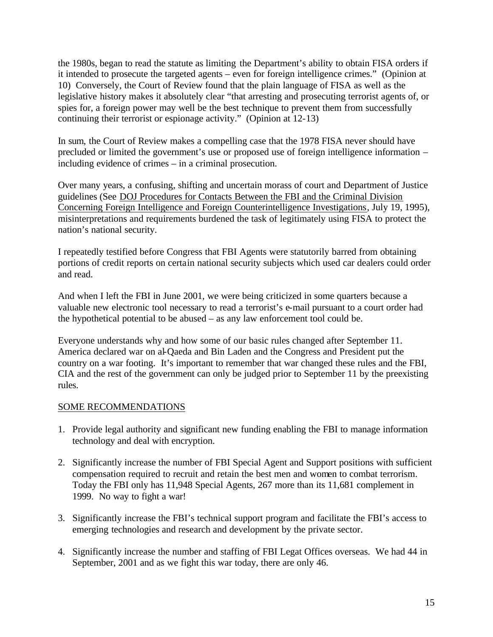the 1980s, began to read the statute as limiting the Department's ability to obtain FISA orders if it intended to prosecute the targeted agents – even for foreign intelligence crimes." (Opinion at 10) Conversely, the Court of Review found that the plain language of FISA as well as the legislative history makes it absolutely clear "that arresting and prosecuting terrorist agents of, or spies for, a foreign power may well be the best technique to prevent them from successfully continuing their terrorist or espionage activity." (Opinion at 12-13)

In sum, the Court of Review makes a compelling case that the 1978 FISA never should have precluded or limited the government's use or proposed use of foreign intelligence information – including evidence of crimes – in a criminal prosecution.

Over many years, a confusing, shifting and uncertain morass of court and Department of Justice guidelines (See DOJ Procedures for Contacts Between the FBI and the Criminal Division Concerning Foreign Intelligence and Foreign Counterintelligence Investigations, July 19, 1995), misinterpretations and requirements burdened the task of legitimately using FISA to protect the nation's national security.

I repeatedly testified before Congress that FBI Agents were statutorily barred from obtaining portions of credit reports on certain national security subjects which used car dealers could order and read.

And when I left the FBI in June 2001, we were being criticized in some quarters because a valuable new electronic tool necessary to read a terrorist's e-mail pursuant to a court order had the hypothetical potential to be abused – as any law enforcement tool could be.

Everyone understands why and how some of our basic rules changed after September 11. America declared war on al-Qaeda and Bin Laden and the Congress and President put the country on a war footing. It's important to remember that war changed these rules and the FBI, CIA and the rest of the government can only be judged prior to September 11 by the preexisting rules.

# SOME RECOMMENDATIONS

- 1. Provide legal authority and significant new funding enabling the FBI to manage information technology and deal with encryption.
- 2. Significantly increase the number of FBI Special Agent and Support positions with sufficient compensation required to recruit and retain the best men and women to combat terrorism. Today the FBI only has 11,948 Special Agents, 267 more than its 11,681 complement in 1999. No way to fight a war!
- 3. Significantly increase the FBI's technical support program and facilitate the FBI's access to emerging technologies and research and development by the private sector.
- 4. Significantly increase the number and staffing of FBI Legat Offices overseas. We had 44 in September, 2001 and as we fight this war today, there are only 46.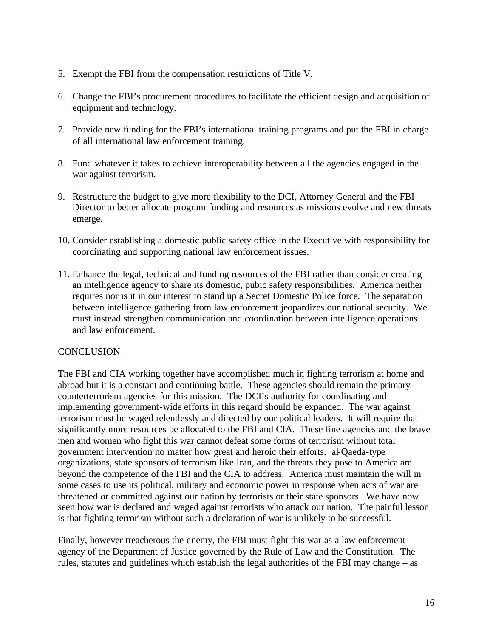- 5. Exempt the FBI from the compensation restrictions of Title V.
- 6. Change the FBI's procurement procedures to facilitate the efficient design and acquisition of equipment and technology.
- 7. Provide new funding for the FBI's international training programs and put the FBI in charge of all international law enforcement training.
- 8. Fund whatever it takes to achieve interoperability between all the agencies engaged in the war against terrorism.
- 9. Restructure the budget to give more flexibility to the DCI, Attorney General and the FBI Director to better allocate program funding and resources as missions evolve and new threats emerge.
- 10. Consider establishing a domestic public safety office in the Executive with responsibility for coordinating and supporting national law enforcement issues.
- 11. Enhance the legal, technical and funding resources of the FBI rather than consider creating an intelligence agency to share its domestic, pubic safety responsibilities. America neither requires nor is it in our interest to stand up a Secret Domestic Police force. The separation between intelligence gathering from law enforcement jeopardizes our national security. We must instead strengthen communication and coordination between intelligence operations and law enforcement.

# **CONCLUSION**

The FBI and CIA working together have accomplished much in fighting terrorism at home and abroad but it is a constant and continuing battle. These agencies should remain the primary counterterrorism agencies for this mission. The DCI's authority for coordinating and implementing government-wide efforts in this regard should be expanded. The war against terrorism must be waged relentlessly and directed by our political leaders. It will require that significantly more resources be allocated to the FBI and CIA. These fine agencies and the brave men and women who fight this war cannot defeat some forms of terrorism without total government intervention no matter how great and heroic their efforts. al-Qaeda-type organizations, state sponsors of terrorism like Iran, and the threats they pose to America are beyond the competence of the FBI and the CIA to address. America must maintain the will in some cases to use its political, military and economic power in response when acts of war are threatened or committed against our nation by terrorists or their state sponsors. We have now seen how war is declared and waged against terrorists who attack our nation. The painful lesson is that fighting terrorism without such a declaration of war is unlikely to be successful.

Finally, however treacherous the enemy, the FBI must fight this war as a law enforcement agency of the Department of Justice governed by the Rule of Law and the Constitution. The rules, statutes and guidelines which establish the legal authorities of the FBI may change – as